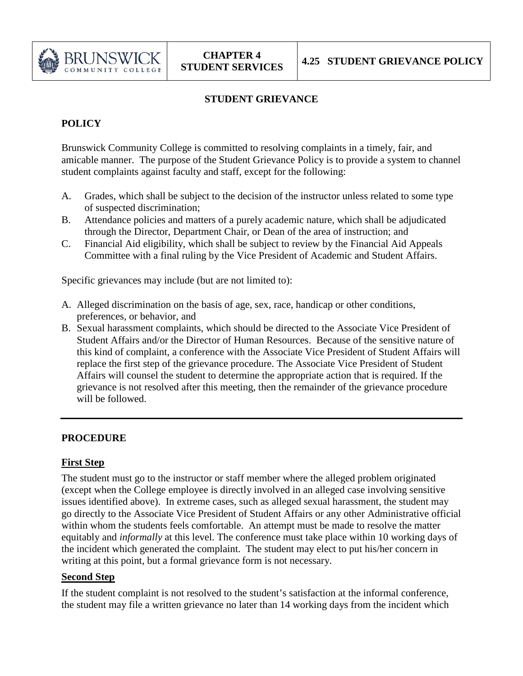

# **STUDENT GRIEVANCE**

## **POLICY**

Brunswick Community College is committed to resolving complaints in a timely, fair, and amicable manner. The purpose of the Student Grievance Policy is to provide a system to channel student complaints against faculty and staff, except for the following:

- A. Grades, which shall be subject to the decision of the instructor unless related to some type of suspected discrimination;
- B. Attendance policies and matters of a purely academic nature, which shall be adjudicated through the Director, Department Chair, or Dean of the area of instruction; and
- C. Financial Aid eligibility, which shall be subject to review by the Financial Aid Appeals Committee with a final ruling by the Vice President of Academic and Student Affairs.

Specific grievances may include (but are not limited to):

- A. Alleged discrimination on the basis of age, sex, race, handicap or other conditions, preferences, or behavior, and
- B. Sexual harassment complaints, which should be directed to the Associate Vice President of Student Affairs and/or the Director of Human Resources. Because of the sensitive nature of this kind of complaint, a conference with the Associate Vice President of Student Affairs will replace the first step of the grievance procedure. The Associate Vice President of Student Affairs will counsel the student to determine the appropriate action that is required. If the grievance is not resolved after this meeting, then the remainder of the grievance procedure will be followed.

### **PROCEDURE**

### **First Step**

The student must go to the instructor or staff member where the alleged problem originated (except when the College employee is directly involved in an alleged case involving sensitive issues identified above). In extreme cases, such as alleged sexual harassment, the student may go directly to the Associate Vice President of Student Affairs or any other Administrative official within whom the students feels comfortable. An attempt must be made to resolve the matter equitably and *informally* at this level. The conference must take place within 10 working days of the incident which generated the complaint. The student may elect to put his/her concern in writing at this point, but a formal grievance form is not necessary.

### **Second Step**

If the student complaint is not resolved to the student's satisfaction at the informal conference, the student may file a written grievance no later than 14 working days from the incident which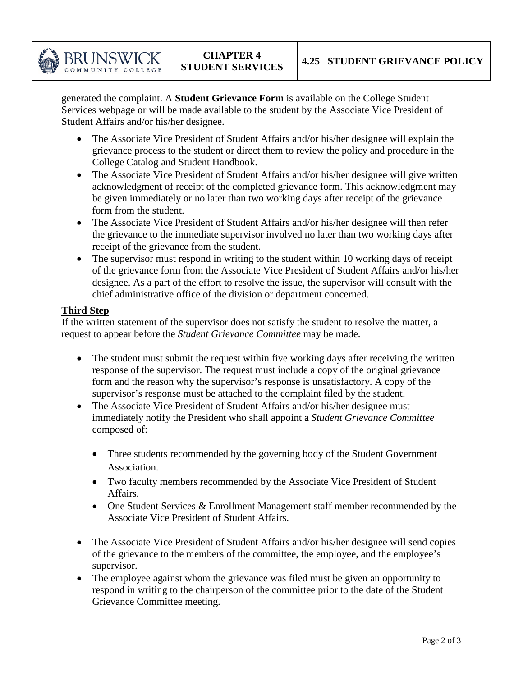

generated the complaint. A **Student Grievance Form** is available on the College Student Services webpage or will be made available to the student by the Associate Vice President of Student Affairs and/or his/her designee.

- The Associate Vice President of Student Affairs and/or his/her designee will explain the grievance process to the student or direct them to review the policy and procedure in the College Catalog and Student Handbook.
- The Associate Vice President of Student Affairs and/or his/her designee will give written acknowledgment of receipt of the completed grievance form. This acknowledgment may be given immediately or no later than two working days after receipt of the grievance form from the student.
- The Associate Vice President of Student Affairs and/or his/her designee will then refer the grievance to the immediate supervisor involved no later than two working days after receipt of the grievance from the student.
- The supervisor must respond in writing to the student within 10 working days of receipt of the grievance form from the Associate Vice President of Student Affairs and/or his/her designee. As a part of the effort to resolve the issue, the supervisor will consult with the chief administrative office of the division or department concerned.

## **Third Step**

If the written statement of the supervisor does not satisfy the student to resolve the matter, a request to appear before the *Student Grievance Committee* may be made.

- The student must submit the request within five working days after receiving the written response of the supervisor. The request must include a copy of the original grievance form and the reason why the supervisor's response is unsatisfactory. A copy of the supervisor's response must be attached to the complaint filed by the student.
- The Associate Vice President of Student Affairs and/or his/her designee must immediately notify the President who shall appoint a *Student Grievance Committee* composed of:
	- Three students recommended by the governing body of the Student Government Association.
	- Two faculty members recommended by the Associate Vice President of Student Affairs.
	- One Student Services & Enrollment Management staff member recommended by the Associate Vice President of Student Affairs.
- The Associate Vice President of Student Affairs and/or his/her designee will send copies of the grievance to the members of the committee, the employee, and the employee's supervisor.
- The employee against whom the grievance was filed must be given an opportunity to respond in writing to the chairperson of the committee prior to the date of the Student Grievance Committee meeting.